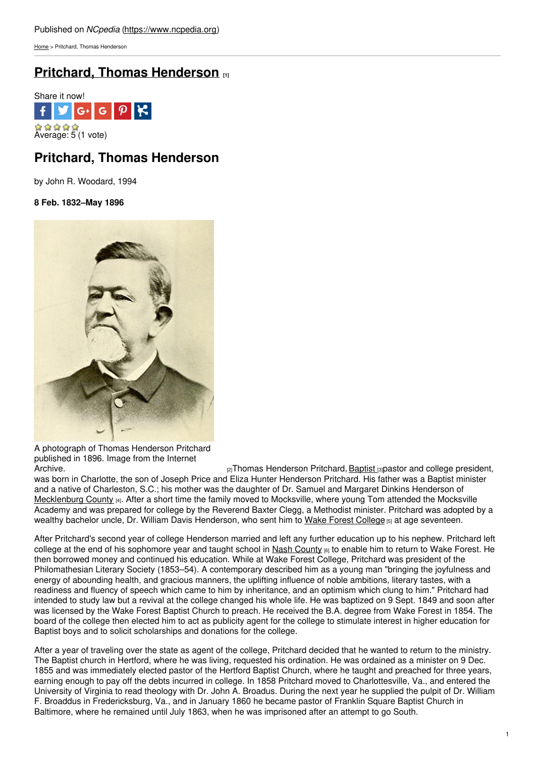[Home](https://www.ncpedia.org/) > Pritchard, Thomas Henderson

# **Pritchard, Thomas [Henderson](https://www.ncpedia.org/biography/pritchard-thomas) [1]**



## **Pritchard, Thomas Henderson**

by John R. Woodard, 1994

**8 Feb. 1832–May 1896**



A photograph of Thomas Henderson Pritchard published in 1896. Image from the Internet

 $_{[2]}$ Thomas Henderson Pritchard, [Baptist](https://www.ncpedia.org/baptists)  $_{[3]}$ pastor and college president, was born in Charlotte, the son of Joseph Price and Eliza Hunter Henderson Pritchard. His father was a Baptist minister and a native of Charleston, S.C.; his mother was the daughter of Dr. Samuel and Margaret Dinkins Henderson of [Mecklenburg](https://www.ncpedia.org/geography/mecklenburg) County [4]. After a short time the family moved to Mocksville, where young Tom attended the Mocksville Academy and was prepared for college by the Reverend Baxter Clegg, a Methodist minister. Pritchard was adopted by a wealthy bachelor uncle, Dr. William Davis Henderson, who sent him to Wake Forest [College](https://www.ncpedia.org/wake-forest-university) [5] at age seventeen.

After Pritchard's second year of college Henderson married and left any further education up to his nephew. Pritchard left college at the end of his sophomore year and taught school in Nash [County](https://www.ncpedia.org/geography/nash) [6] to enable him to return to Wake Forest. He then borrowed money and continued his education. While at Wake Forest College, Pritchard was president of the Philomathesian Literary Society (1853–54). A contemporary described him as a young man "bringing the joyfulness and energy of abounding health, and gracious manners, the uplifting influence of noble ambitions, literary tastes, with a readiness and fluency of speech which came to him by inheritance, and an optimism which clung to him." Pritchard had intended to study law but a revival at the college changed his whole life. He was baptized on 9 Sept. 1849 and soon after was licensed by the Wake Forest Baptist Church to preach. He received the B.A. degree from Wake Forest in 1854. The board of the college then elected him to act as publicity agent for the college to stimulate interest in higher education for Baptist boys and to solicit scholarships and donations for the college.

After a year of traveling over the state as agent of the college, Pritchard decided that he wanted to return to the ministry. The Baptist church in Hertford, where he was living, requested his ordination. He was ordained as a minister on 9 Dec. 1855 and was immediately elected pastor of the Hertford Baptist Church, where he taught and preached for three years, earning enough to pay off the debts incurred in college. In 1858 Pritchard moved to Charlottesville, Va., and entered the University of Virginia to read theology with Dr. John A. Broadus. During the next year he supplied the pulpit of Dr. William F. Broaddus in Fredericksburg, Va., and in January 1860 he became pastor of Franklin Square Baptist Church in Baltimore, where he remained until July 1863, when he was imprisoned after an attempt to go South.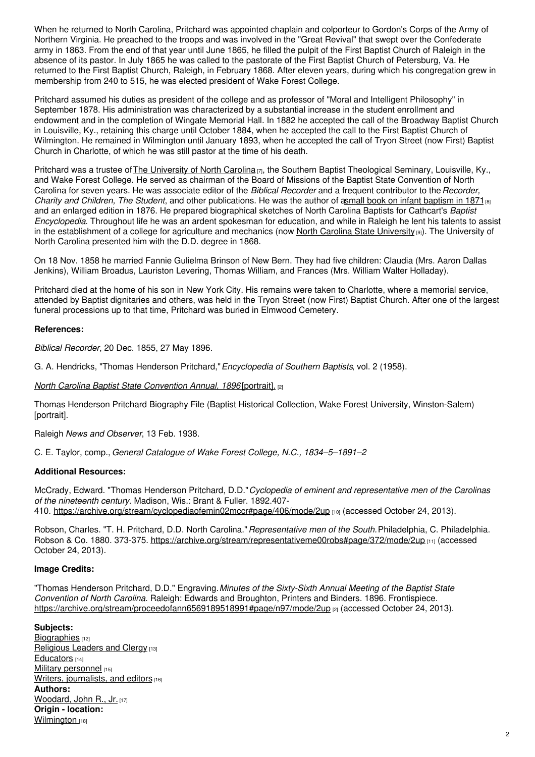When he returned to North Carolina, Pritchard was appointed chaplain and colporteur to Gordon's Corps of the Army of Northern Virginia. He preached to the troops and was involved in the "Great Revival" that swept over the Confederate army in 1863. From the end of that year until June 1865, he filled the pulpit of the First Baptist Church of Raleigh in the absence of its pastor. In July 1865 he was called to the pastorate of the First Baptist Church of Petersburg, Va. He returned to the First Baptist Church, Raleigh, in February 1868. After eleven years, during which his congregation grew in membership from 240 to 515, he was elected president of Wake Forest College.

Pritchard assumed his duties as president of the college and as professor of "Moral and Intelligent Philosophy" in September 1878. His administration was characterized by a substantial increase in the student enrollment and endowment and in the completion of Wingate Memorial Hall. In 1882 he accepted the call of the Broadway Baptist Church in Louisville, Ky., retaining this charge until October 1884, when he accepted the call to the First Baptist Church of Wilmington. He remained in Wilmington until January 1893, when he accepted the call of Tryon Street (now First) Baptist Church in Charlotte, of which he was still pastor at the time of his death.

Pritchard was a trustee of The [University](https://www.ncpedia.org/university-north-carolina-chapel-hi) of North Carolina [7], the Southern Baptist Theological Seminary, Louisville, Ky., and Wake Forest College. He served as chairman of the Board of Missions of the Baptist State Convention of North Carolina for seven years. He was associate editor of the *Biblical Recorder* and a frequent contributor to the*Recorder, Charity* and *Children, The Student*, and other publications. He was the author of asmall book on infant [baptism](https://archive.org/details/baptizingofinfanmaso) in 1871<sub>[8]</sub> and an enlarged edition in 1876. He prepared biographical sketches of North Carolina Baptists for Cathcart's *Baptist Encyclopedia*. Throughout life he was an ardent spokesman for education, and while in Raleigh he lent his talents to assist in the establishment of a college for agriculture and mechanics (now North Carolina State [University](https://www.ncpedia.org/north-carolina-state-university) [9]). The University of North Carolina presented him with the D.D. degree in 1868.

On 18 Nov. 1858 he married Fannie Gulielma Brinson of New Bern. They had five children: Claudia (Mrs. Aaron Dallas Jenkins), William Broadus, Lauriston Levering, Thomas William, and Frances (Mrs. William Walter Holladay).

Pritchard died at the home of his son in New York City. His remains were taken to Charlotte, where a memorial service, attended by Baptist dignitaries and others, was held in the Tryon Street (now First) Baptist Church. After one of the largest funeral processions up to that time, Pritchard was buried in Elmwood Cemetery.

#### **References:**

*Biblical Recorder*, 20 Dec. 1855, 27 May 1896.

G. A. Hendricks, "Thomas Henderson Pritchard,"*Encyclopedia of Southern Baptists*, vol. 2 (1958).

*North Carolina Baptist State [Convention](https://archive.org/stream/proceedofann6569189518991#page/n97/mode/2up) Annual, 1896* [portrait]. [2]

Thomas Henderson Pritchard Biography File (Baptist Historical Collection, Wake Forest University, Winston-Salem) [portrait].

Raleigh *News and Observer*, 13 Feb. 1938.

C. E. Taylor, comp., *General Catalogue of Wake Forest College, N.C., 1834–5–1891–2*.

### **Additional Resources:**

McCrady, Edward. "Thomas Henderson Pritchard, D.D."*Cyclopedia of eminent and representative men of the Carolinas of the nineteenth century.* Madison, Wis.: Brant & Fuller. 1892.407 410. <https://archive.org/stream/cyclopediaofemin02mccr#page/406/mode/2up> [10] (accessed October 24, 2013).

Robson, Charles. "T. H. Pritchard, D.D. North Carolina."*Representative men of the South.*Philadelphia, C. Philadelphia. Robson & Co. 1880. 373-375. <https://archive.org/stream/representativeme00robs#page/372/mode/2up> [11] (accessed October 24, 2013).

#### **Image Credits:**

"Thomas Henderson Pritchard, D.D." Engraving.*Minutes of the Sixty-Sixth Annual Meeting of the Baptist State Convention of North Carolina*. Raleigh: Edwards and Broughton, Printers and Binders. 1896. Frontispiece. <https://archive.org/stream/proceedofann6569189518991#page/n97/mode/2up> [2] (accessed October 24, 2013).

### **Subjects:**

[Biographies](https://www.ncpedia.org/category/subjects/biography-term) [12] [Religious](https://www.ncpedia.org/category/subjects/clergy) Leaders and Clergy [13] [Educators](https://www.ncpedia.org/category/subjects/educators) [14] Military [personnel](https://www.ncpedia.org/category/subjects/soldiers) [15] Writers, [journalists,](https://www.ncpedia.org/category/subjects/writer) and editors [16] **Authors:** [Woodard,](https://www.ncpedia.org/category/authors/woodard-john-r-jr) John R., Jr. [17] **Origin - location:** [Wilmington](https://www.ncpedia.org/category/origin-location/coastal-39) [18]